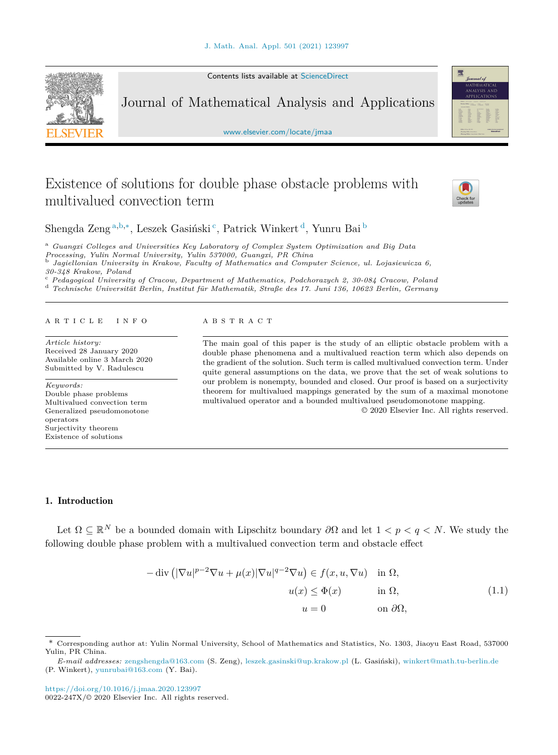Contents lists available at [ScienceDirect](http://www.ScienceDirect.com/)

<span id="page-0-0"></span>

Journal of Mathematical Analysis and Applications

[www.elsevier.com/locate/jmaa](http://www.elsevier.com/locate/jmaa)

# Existence of solutions for double phase obstacle problems with multivalued convection term



贾

Shengda Zeng<sup>a,b,∗</sup>, Leszek Gasiński<sup>c</sup>, Patrick Winkert<sup>d</sup>, Yunru Bai<sup>b</sup>

<sup>a</sup> *Guangxi Col leges and Universities Key Laboratory of Complex System Optimization and Big Data*

<sup>b</sup> Jaqiellonian University in Krakow, Faculty of Mathematics and Computer Science, ul. Lojasiewicza 6,

30-348 Krakow, Poland<br>
<sup>c</sup> Pedagogical University of Cracow, Department of Mathematics, Podchorazych 2, 30-084 Cracow, Poland<br>
<sup>d</sup> Technische Universität Berlin, Institut für Mathematik, Straße des 17. Juni 136, 10623 Ber

#### A R T I C L E I N F O A B S T R A C T

*Article history:* Received 28 January 2020 Available online 3 March 2020 Submitted by V. Radulescu

*Keywords:* Double phase problems Multivalued convection term Generalized pseudomonotone operators Surjectivity theorem Existence of solutions

The main goal of this paper is the study of an elliptic obstacle problem with a double phase phenomena and a multivalued reaction term which also depends on the gradient of the solution. Such term is called multivalued convection term. Under quite general assumptions on the data, we prove that the set of weak solutions to our problem is nonempty, bounded and closed. Our proof is based on a surjectivity theorem for multivalued mappings generated by the sum of a maximal monotone multivalued operator and a bounded multivalued pseudomonotone mapping.

© 2020 Elsevier Inc. All rights reserved.

## 1. Introduction

Let  $\Omega \subset \mathbb{R}^N$  be a bounded domain with Lipschitz boundary  $\partial\Omega$  and let  $1 < p < q < N$ . We study the following double phase problem with a multivalued convection term and obstacle effect

$$
-\operatorname{div} \left( |\nabla u|^{p-2} \nabla u + \mu(x) |\nabla u|^{q-2} \nabla u \right) \in f(x, u, \nabla u) \quad \text{in } \Omega,
$$

$$
u(x) \le \Phi(x) \qquad \text{in } \Omega,
$$

$$
u = 0 \qquad \text{on } \partial \Omega,
$$
 (1.1)

*E-mail addresses:* [zengshengda@163.com](mailto:zengshengda@163.com) (S. Zeng), [leszek.gasinski@up.krakow.pl](mailto:leszek.gasinski@up.krakow.pl) (L. Gasiński), [winkert@math.tu-berlin.de](mailto:winkert@math.tu-berlin.de) (P. Winkert), [yunrubai@163.com](mailto:yunrubai@163.com) (Y. Bai).

<sup>\*</sup> Corresponding author at: Yulin Normal University, School of Mathematics and Statistics, No. 1303, Jiaoyu East Road, 537000 Yulin, PR China.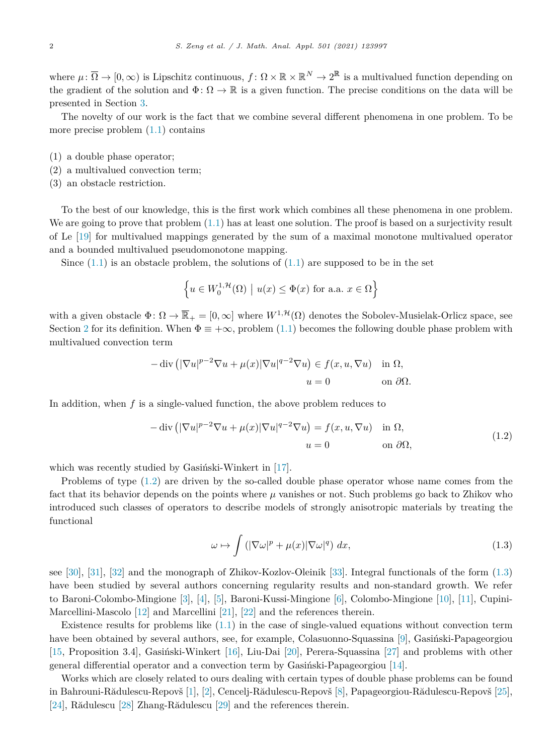where  $\mu: \overline{\Omega} \to [0,\infty)$  is Lipschitz continuous,  $f: \Omega \times \mathbb{R} \times \mathbb{R}^N \to 2^{\mathbb{R}}$  is a multivalued function depending on the gradient of the solution and  $\Phi: \Omega \to \mathbb{R}$  is a given function. The precise conditions on the data will be presented in Section [3.](#page-5-0)

The novelty of our work is the fact that we combine several different phenomena in one problem. To be more precise problem  $(1.1)$  $(1.1)$  contains

- (1) a double phase operator;
- (2) a multivalued convection term;
- (3) an obstacle restriction.

To the best of our knowledge, this is the first work which combines all these phenomena in one problem. We are going to prove that problem  $(1.1)$  $(1.1)$  has at least one solution. The proof is based on a surjectivity result of Le [[19\]](#page-11-0) for multivalued mappings generated by the sum of a maximal monotone multivalued operator and a bounded multivalued pseudomonotone mapping.

Since  $(1.1)$  is an obstacle problem, the solutions of  $(1.1)$  $(1.1)$  are supposed to be in the set

$$
\left\{ u \in W_0^{1,\mathcal{H}}(\Omega) \mid u(x) \le \Phi(x) \text{ for a.a. } x \in \Omega \right\}
$$

with a given obstacle  $\Phi: \Omega \to \overline{\mathbb{R}}_+ = [0, \infty]$  where  $W^{1, \mathcal{H}}(\Omega)$  denotes the Sobolev-Musielak-Orlicz space, see Section [2](#page-2-0) for its definition. When  $\Phi \equiv +\infty$ , problem [\(1.1](#page-0-0)) becomes the following double phase problem with multivalued convection term

$$
-\operatorname{div}\left(|\nabla u|^{p-2}\nabla u + \mu(x)|\nabla u|^{q-2}\nabla u\right) \in f(x, u, \nabla u) \quad \text{in } \Omega,
$$

$$
u = 0 \qquad \text{on } \partial\Omega.
$$

In addition, when *f* is a single-valued function, the above problem reduces to

$$
-\operatorname{div}\left(|\nabla u|^{p-2}\nabla u + \mu(x)|\nabla u|^{q-2}\nabla u\right) = f(x, u, \nabla u) \quad \text{in } \Omega,
$$
  
\n
$$
u = 0 \qquad \text{on } \partial\Omega,
$$
\n(1.2)

which was recently studied by Gasiński-Winkert in [[17\]](#page-11-0).

Problems of type (1.2) are driven by the so-called double phase operator whose name comes from the fact that its behavior depends on the points where *μ* vanishes or not. Such problems go back to Zhikov who introduced such classes of operators to describe models of strongly anisotropic materials by treating the functional

$$
\omega \mapsto \int \left( |\nabla \omega|^p + \mu(x) |\nabla \omega|^q \right) dx, \tag{1.3}
$$

see [\[30](#page-11-0)], [\[31](#page-11-0)], [\[32](#page-11-0)] and the monograph of Zhikov-Kozlov-Oleinik [[33\]](#page-11-0). Integral functionals of the form (1.3) have been studied by several authors concerning regularity results and non-standard growth. We refer to Baroni-Colombo-Mingione [\[3](#page-11-0)], [\[4](#page-11-0)], [\[5](#page-11-0)], Baroni-Kussi-Mingione [\[6](#page-11-0)], Colombo-Mingione [\[10](#page-11-0)], [\[11](#page-11-0)], Cupini-Marcellini-Mascolo [\[12\]](#page-11-0) and Marcellini [[21\]](#page-11-0), [\[22\]](#page-11-0) and the references therein.

Existence results for problems like ([1.1\)](#page-0-0) in the case of single-valued equations without convection term have been obtained by several authors, see, for example, Colasuonno-Squassina [\[9](#page-11-0)], Gasiński-Papageorgiou [[15,](#page-11-0) Proposition 3.4], Gasiński-Winkert [\[16\]](#page-11-0), Liu-Dai [\[20](#page-11-0)], Perera-Squassina [[27\]](#page-11-0) and problems with other general differential operator and a convection term by Gasiński-Papageorgiou [\[14](#page-11-0)].

Works which are closely related to ours dealing with certain types of double phase problems can be found in Bahrouni-Rădulescu-Repovš [\[1](#page-10-0)], [\[2](#page-10-0)], Cencelj-Rădulescu-Repovš [\[8](#page-11-0)], Papageorgiou-Rădulescu-Repovš [[25\]](#page-11-0), [[24\]](#page-11-0), Rădulescu [\[28\]](#page-11-0) Zhang-Rădulescu [\[29\]](#page-11-0) and the references therein.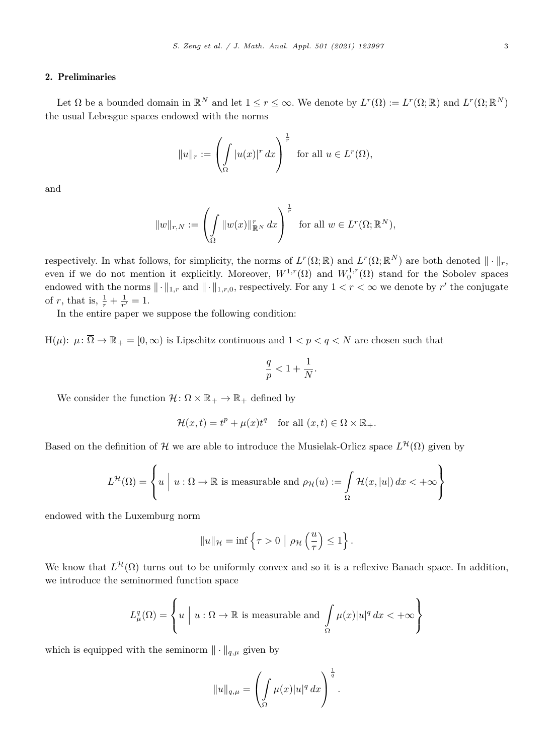#### <span id="page-2-0"></span>2. Preliminaries

Let  $\Omega$  be a bounded domain in  $\mathbb{R}^N$  and let  $1 \leq r \leq \infty$ . We denote by  $L^r(\Omega) := L^r(\Omega; \mathbb{R})$  and  $L^r(\Omega; \mathbb{R}^N)$ the usual Lebesgue spaces endowed with the norms

$$
||u||_r := \left(\int_{\Omega} |u(x)|^r dx\right)^{\frac{1}{r}} \text{ for all } u \in L^r(\Omega),
$$

and

$$
||w||_{r,N} := \left(\int\limits_{\Omega} ||w(x)||^r_{\mathbb{R}^N} dx\right)^{\frac{1}{r}} \text{ for all } w \in L^r(\Omega;\mathbb{R}^N),
$$

respectively. In what follows, for simplicity, the norms of  $L^r(\Omega;\mathbb{R})$  and  $L^r(\Omega;\mathbb{R}^N)$  are both denoted  $\|\cdot\|_r$ , even if we do not mention it explicitly. Moreover,  $W^{1,r}(\Omega)$  and  $W_0^{1,r}(\Omega)$  stand for the Sobolev spaces endowed with the norms  $\|\cdot\|_{1,r}$  and  $\|\cdot\|_{1,r,0}$ , respectively. For any  $1 < r < \infty$  we denote by  $r'$  the conjugate of *r*, that is,  $\frac{1}{r} + \frac{1}{r'} = 1$ .

In the entire paper we suppose the following condition:

 $H(\mu): \mu: \overline{\Omega} \to \mathbb{R}_+ = [0, \infty)$  is Lipschitz continuous and  $1 < p < q < N$  are chosen such that

$$
\frac{q}{p} < 1 + \frac{1}{N}.
$$

We consider the function  $\mathcal{H} \colon \Omega \times \mathbb{R}_+ \to \mathbb{R}_+$  defined by

$$
\mathcal{H}(x,t) = t^p + \mu(x)t^q \quad \text{for all } (x,t) \in \Omega \times \mathbb{R}_+.
$$

Based on the definition of H we are able to introduce the Musielak-Orlicz space  $L^{\mathcal{H}}(\Omega)$  given by

$$
L^{\mathcal{H}}(\Omega) = \left\{ u \mid u : \Omega \to \mathbb{R} \text{ is measurable and } \rho_{\mathcal{H}}(u) := \int_{\Omega} \mathcal{H}(x, |u|) dx < +\infty \right\}
$$

endowed with the Luxemburg norm

$$
||u||_{\mathcal{H}} = \inf \left\{ \tau > 0 \mid \rho_{\mathcal{H}} \left( \frac{u}{\tau} \right) \leq 1 \right\}.
$$

We know that  $L^{\mathcal{H}}(\Omega)$  turns out to be uniformly convex and so it is a reflexive Banach space. In addition, we introduce the seminormed function space

$$
L^q_\mu(\Omega) = \left\{ u \mid u : \Omega \to \mathbb{R} \text{ is measurable and } \int\limits_\Omega \mu(x) |u|^q \, dx < +\infty \right\}
$$

which is equipped with the seminorm  $\|\cdot\|_{q,\mu}$  given by

$$
||u||_{q,\mu} = \left(\int_{\Omega} \mu(x)|u|^q dx\right)^{\frac{1}{q}}.
$$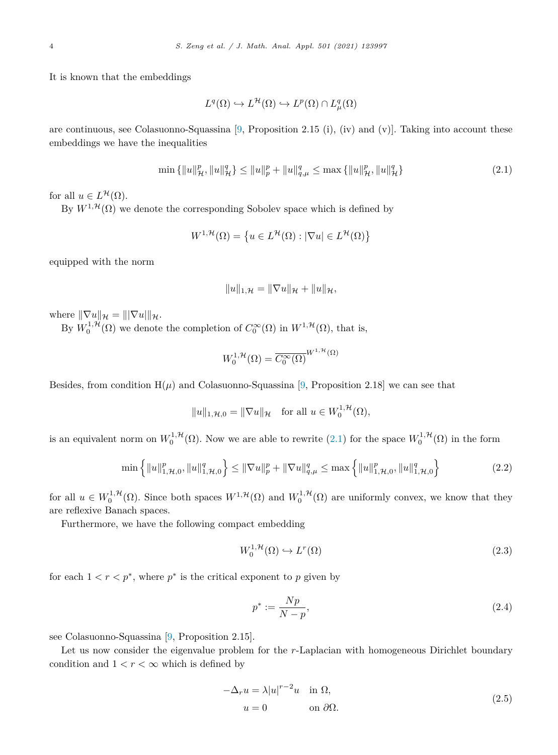<span id="page-3-0"></span>It is known that the embeddings

$$
L^q(\Omega) \hookrightarrow L^{\mathcal{H}}(\Omega) \hookrightarrow L^p(\Omega) \cap L^q_\mu(\Omega)
$$

are continuous, see Colasuonno-Squassina  $[9,$  $[9,$  Proposition 2.15 (i), (iv) and (v)]. Taking into account these embeddings we have the inequalities

$$
\min\left\{\|u\|_{\mathcal{H}}^p, \|u\|_{\mathcal{H}}^q\right\} \le \|u\|_p^p + \|u\|_{q,\mu}^q \le \max\left\{\|u\|_{\mathcal{H}}^p, \|u\|_{\mathcal{H}}^q\right\} \tag{2.1}
$$

for all  $u \in L^{\mathcal{H}}(\Omega)$ .

By  $W^{1,\mathcal{H}}(\Omega)$  we denote the corresponding Sobolev space which is defined by

$$
W^{1,\mathcal{H}}(\Omega) = \left\{ u \in L^{\mathcal{H}}(\Omega) : |\nabla u| \in L^{\mathcal{H}}(\Omega) \right\}
$$

equipped with the norm

$$
||u||_{1,\mathcal{H}} = ||\nabla u||_{\mathcal{H}} + ||u||_{\mathcal{H}},
$$

where  $\|\nabla u\|_{\mathcal{H}} = \|\nabla u\|_{\mathcal{H}}.$ 

By  $W_0^{1,\mathcal{H}}(\Omega)$  we denote the completion of  $C_0^{\infty}(\Omega)$  in  $W^{1,\mathcal{H}}(\Omega)$ , that is,

$$
W_0^{1,\mathcal{H}}(\Omega) = \overline{C_0^{\infty}(\Omega)}^{W^{1,\mathcal{H}}(\Omega)}
$$

Besides, from condition  $H(\mu)$  and Colasuonno-Squassina [[9,](#page-11-0) Proposition 2.18] we can see that

 $||u||_{1,\mathcal{H},0} = ||\nabla u||_{\mathcal{H}}$  for all  $u \in W_0^{1,\mathcal{H}}(\Omega)$ *,* 

is an equivalent norm on  $W_0^{1,\mathcal{H}}(\Omega)$ . Now we are able to rewrite  $(2.1)$  for the space  $W_0^{1,\mathcal{H}}(\Omega)$  in the form

$$
\min\left\{\|u\|_{1,\mathcal{H},0}^p, \|u\|_{1,\mathcal{H},0}^q\right\} \le \|\nabla u\|_p^p + \|\nabla u\|_{q,\mu}^q \le \max\left\{\|u\|_{1,\mathcal{H},0}^p, \|u\|_{1,\mathcal{H},0}^q\right\} \tag{2.2}
$$

for all  $u \in W_0^{1,\mathcal{H}}(\Omega)$ . Since both spaces  $W^{1,\mathcal{H}}(\Omega)$  and  $W_0^{1,\mathcal{H}}(\Omega)$  are uniformly convex, we know that they are reflexive Banach spaces.

Furthermore, we have the following compact embedding

$$
W_0^{1, \mathcal{H}}(\Omega) \hookrightarrow L^r(\Omega) \tag{2.3}
$$

for each  $1 < r < p^*$ , where  $p^*$  is the critical exponent to *p* given by

$$
p^* := \frac{Np}{N-p},\tag{2.4}
$$

see Colasuonno-Squassina [\[9,](#page-11-0) Proposition 2.15].

Let us now consider the eigenvalue problem for the *r*-Laplacian with homogeneous Dirichlet boundary condition and  $1 < r < \infty$  which is defined by

$$
-\Delta_r u = \lambda |u|^{r-2}u \quad \text{in } \Omega,
$$
  
\n
$$
u = 0 \qquad \text{on } \partial\Omega.
$$
\n(2.5)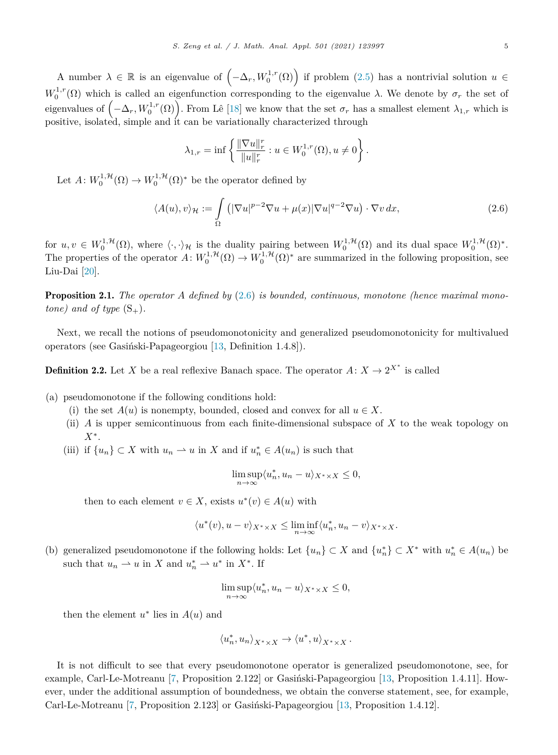<span id="page-4-0"></span>A number  $\lambda \in \mathbb{R}$  is an eigenvalue of  $(-\Delta_r, W_0^{1,r}(\Omega))$  if problem [\(2.5](#page-3-0)) has a nontrivial solution  $u \in$  $W_0^{1,r}(\Omega)$  which is called an eigenfunction corresponding to the eigenvalue *λ*. We denote by  $\sigma_r$  the set of eigenvalues of  $(-\Delta_r, W_0^{1,r}(\Omega))$ . From Lê [\[18](#page-11-0)] we know that the set  $\sigma_r$  has a smallest element  $\lambda_{1,r}$  which is positive, isolated, simple and it can be variationally characterized through

$$
\lambda_{1,r} = \inf \left\{ \frac{\|\nabla u\|_r^r}{\|u\|_r^r} : u \in W_0^{1,r}(\Omega), u \neq 0 \right\}.
$$

Let  $A: W_0^{1, \mathcal{H}}(\Omega) \to W_0^{1, \mathcal{H}}(\Omega)^*$  be the operator defined by

$$
\langle A(u), v \rangle_{\mathcal{H}} := \int_{\Omega} \left( |\nabla u|^{p-2} \nabla u + \mu(x) |\nabla u|^{q-2} \nabla u \right) \cdot \nabla v \, dx,\tag{2.6}
$$

for  $u, v \in W_0^{1, \mathcal{H}}(\Omega)$ , where  $\langle \cdot, \cdot \rangle_{\mathcal{H}}$  is the duality pairing between  $W_0^{1, \mathcal{H}}(\Omega)$  and its dual space  $W_0^{1, \mathcal{H}}(\Omega)^*$ . The properties of the operator  $A: W_0^{1,\mathcal{H}}(\Omega) \to W_0^{1,\mathcal{H}}(\Omega)^*$  are summarized in the following proposition, see Liu-Dai [\[20](#page-11-0)].

Proposition 2.1. *The operator A defined by* (2.6) *is bounded, continuous, monotone (hence maximal monotone) and of type*  $(S_+)$ *.* 

Next, we recall the notions of pseudomonotonicity and generalized pseudomonotonicity for multivalued operators (see Gasiński-Papageorgiou [\[13,](#page-11-0) Definition 1.4.8]).

**Definition 2.2.** Let *X* be a real reflexive Banach space. The operator  $A: X \to 2^{X^*}$  is called

(a) pseudomonotone if the following conditions hold:

- (i) the set  $A(u)$  is nonempty, bounded, closed and convex for all  $u \in X$ .
- (ii) *A* is upper semicontinuous from each finite-dimensional subspace of *X* to the weak topology on *X*∗.
- (iii) if  $\{u_n\} \subset X$  with  $u_n \to u$  in *X* and if  $u_n^* \in A(u_n)$  is such that

$$
\limsup_{n \to \infty} \langle u_n^*, u_n - u \rangle_{X^* \times X} \le 0,
$$

then to each element  $v \in X$ , exists  $u^*(v) \in A(u)$  with

$$
\langle u^*(v), u-v \rangle_{X^*\times X} \leq \liminf_{n\to\infty} \langle u_n^*, u_n-v \rangle_{X^*\times X}.
$$

(b) generalized pseudomonotone if the following holds: Let  $\{u_n\} \subset X$  and  $\{u_n^*\} \subset X^*$  with  $u_n^* \in A(u_n)$  be such that  $u_n \rightharpoonup u$  in *X* and  $u_n^* \rightharpoonup u^*$  in *X*<sup>\*</sup>. If

$$
\limsup_{n \to \infty} \langle u_n^*, u_n - u \rangle_{X^* \times X} \le 0,
$$

then the element  $u^*$  lies in  $A(u)$  and

$$
\langle u_n^*, u_n \rangle_{X^* \times X} \to \langle u^*, u \rangle_{X^* \times X}.
$$

It is not difficult to see that every pseudomonotone operator is generalized pseudomonotone, see, for example, Carl-Le-Motreanu [[7,](#page-11-0) Proposition 2.122] or Gasiński-Papageorgiou [[13,](#page-11-0) Proposition 1.4.11]. However, under the additional assumption of boundedness, we obtain the converse statement, see, for example, Carl-Le-Motreanu [\[7,](#page-11-0) Proposition 2.123] or Gasiński-Papageorgiou [[13,](#page-11-0) Proposition 1.4.12].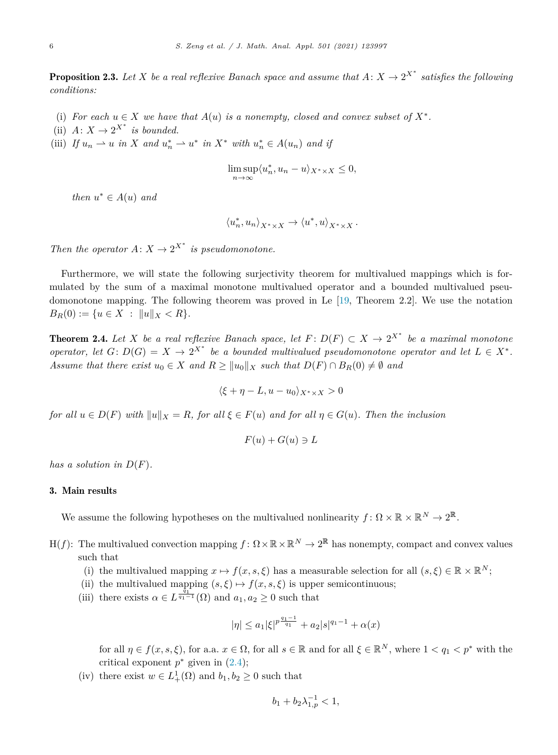<span id="page-5-0"></span>**Proposition 2.3.** Let X be a real reflexive Banach space and assume that  $A: X \to 2^{X^*}$  satisfies the following *conditions:*

- (i) For each  $u \in X$  we have that  $A(u)$  is a nonempty, closed and convex subset of  $X^*$ .
- (ii)  $A: X \to 2^{X^*}$  *is bounded.*
- (iii) If  $u_n \rightharpoonup u$  in X and  $u_n^* \rightharpoonup u^*$  in  $X^*$  with  $u_n^* \in A(u_n)$  and if

$$
\limsup_{n \to \infty} \langle u_n^*, u_n - u \rangle_{X^* \times X} \le 0,
$$

*then*  $u^* \in A(u)$  *and* 

$$
\langle u_n^*, u_n \rangle_{X^* \times X} \to \langle u^*, u \rangle_{X^* \times X}.
$$

*Then the operator*  $A: X \to 2^{X^*}$  *is pseudomonotone.* 

Furthermore, we will state the following surjectivity theorem for multivalued mappings which is formulated by the sum of a maximal monotone multivalued operator and a bounded multivalued pseudomonotone mapping. The following theorem was proved in Le [[19,](#page-11-0) Theorem 2.2]. We use the notation  $B_R(0) := \{ u \in X : ||u||_X < R \}.$ 

**Theorem 2.4.** Let X be a real reflexive Banach space, let  $F: D(F) \subset X \to 2^{X^*}$  be a maximal monotone *operator, let*  $G: D(G) = X \rightarrow 2^{X^*}$  *be a bounded multivalued pseudomonotone operator and let*  $L \in X^*$ *. Assume that there exist*  $u_0 \in X$  *and*  $R \ge ||u_0||_X$  *such that*  $D(F) \cap B_R(0) \neq \emptyset$  *and* 

$$
\langle \xi + \eta - L, u - u_0 \rangle_{X^* \times X} > 0
$$

for all  $u \in D(F)$  with  $||u||_X = R$ , for all  $\xi \in F(u)$  and for all  $\eta \in G(u)$ . Then the inclusion

$$
F(u) + G(u) \ni L
$$

*has a solution in*  $D(F)$ *.* 

### 3. Main results

We assume the following hypotheses on the multivalued nonlinearity  $f: \Omega \times \mathbb{R} \times \mathbb{R}^N \to 2^{\mathbb{R}}$ .

- H(f): The multivalued convection mapping  $f: \Omega \times \mathbb{R} \times \mathbb{R}^N \to 2^{\mathbb{R}}$  has nonempty, compact and convex values such that
	- (i) the multivalued mapping  $x \mapsto f(x, s, \xi)$  has a measurable selection for all  $(s, \xi) \in \mathbb{R} \times \mathbb{R}^N$ ;
	- (ii) the multivalued mapping  $(s, \xi) \mapsto f(x, s, \xi)$  is upper semicontinuous;
	- (iii) there exists  $\alpha \in L^{\frac{q_1}{q_1-1}}(\Omega)$  and  $a_1, a_2 \geq 0$  such that

$$
|\eta| \le a_1 |\xi|^{p \frac{q_1 - 1}{q_1}} + a_2 |s|^{q_1 - 1} + \alpha(x)
$$

for all  $\eta \in f(x, s, \xi)$ , for a.a.  $x \in \Omega$ , for all  $s \in \mathbb{R}$  and for all  $\xi \in \mathbb{R}^N$ , where  $1 < q_1 < p^*$  with the critical exponent  $p^*$  given in  $(2.4)$  $(2.4)$ ;

(iv) there exist  $w \in L^1_+(\Omega)$  and  $b_1, b_2 \ge 0$  such that

$$
b_1 + b_2 \lambda_{1,p}^{-1} < 1,
$$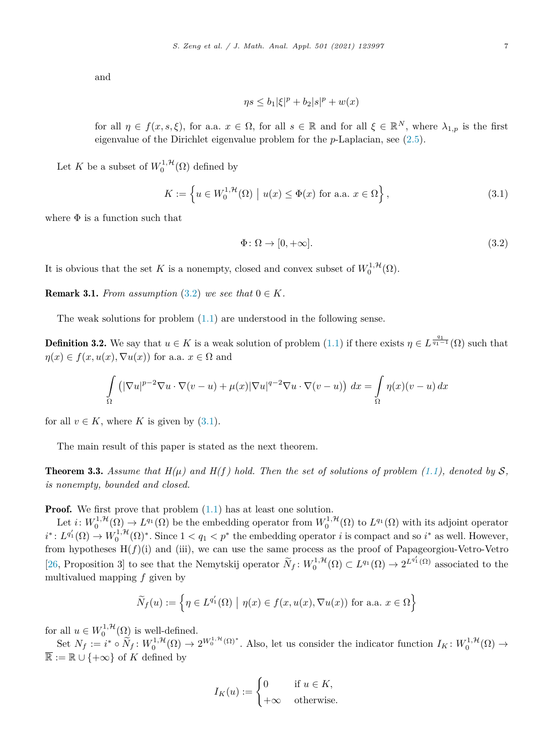<span id="page-6-0"></span>and

$$
\eta s \le b_1 |\xi|^p + b_2 |s|^p + w(x)
$$

for all  $\eta \in f(x, s, \xi)$ , for a.a.  $x \in \Omega$ , for all  $s \in \mathbb{R}$  and for all  $\xi \in \mathbb{R}^N$ , where  $\lambda_{1,p}$  is the first eigenvalue of the Dirichlet eigenvalue problem for the *p*-Laplacian, see ([2.5\)](#page-3-0).

Let *K* be a subset of  $W_0^{1,\mathcal{H}}(\Omega)$  defined by

$$
K := \left\{ u \in W_0^{1, \mathcal{H}}(\Omega) \mid u(x) \le \Phi(x) \text{ for a.a. } x \in \Omega \right\},\tag{3.1}
$$

where  $\Phi$  is a function such that

$$
\Phi \colon \Omega \to [0, +\infty]. \tag{3.2}
$$

It is obvious that the set *K* is a nonempty, closed and convex subset of  $W_0^{1, \mathcal{H}}(\Omega)$ .

**Remark 3.1.** *From assumption*  $(3.2)$  *we see that*  $0 \in K$ *.* 

The weak solutions for problem [\(1.1](#page-0-0)) are understood in the following sense.

**Definition 3.2.** We say that  $u \in K$  is a weak solution of problem [\(1.1](#page-0-0)) if there exists  $\eta \in L^{\frac{q_1}{q_1-1}}(\Omega)$  such that  $\eta(x) \in f(x, u(x), \nabla u(x))$  for a.a.  $x \in \Omega$  and

$$
\int_{\Omega} \left( |\nabla u|^{p-2} \nabla u \cdot \nabla (v - u) + \mu(x) |\nabla u|^{q-2} \nabla u \cdot \nabla (v - u) \right) dx = \int_{\Omega} \eta(x) (v - u) dx
$$

for all  $v \in K$ , where K is given by  $(3.1)$ .

The main result of this paper is stated as the next theorem.

**Theorem 3.3.** Assume that  $H(\mu)$  and  $H(f)$  hold. Then the set of solutions of problem [\(1.1](#page-0-0)), denoted by S, *is nonempty, bounded and closed.*

**Proof.** We first prove that problem  $(1.1)$  $(1.1)$  has at least one solution.

Let  $i: W_0^{1,\mathcal{H}}(\Omega) \to L^{q_1}(\Omega)$  be the embedding operator from  $W_0^{1,\mathcal{H}}(\Omega)$  to  $L^{q_1}(\Omega)$  with its adjoint operator  $i^*$ :  $L^{q'_1}(\Omega) \to W_0^{1,\mathcal{H}}(\Omega)^*$ . Since  $1 < q_1 < p^*$  the embedding operator *i* is compact and so  $i^*$  as well. However, from hypotheses H(*f*)(i) and (iii), we can use the same process as the proof of Papageorgiou-Vetro-Vetro [[26,](#page-11-0) Proposition 3] to see that the Nemytskij operator  $\widetilde{N}_f: W_0^{1,\mathcal{H}}(\Omega) \subset L^{q_1}(\Omega) \to 2^{L^{q'_1}(\Omega)}$  associated to the multivalued mapping *f* given by

$$
\widetilde{N}_f(u) := \left\{ \eta \in L^{q'_1}(\Omega) \mid \eta(x) \in f(x, u(x), \nabla u(x)) \text{ for a.a. } x \in \Omega \right\}
$$

for all  $u \in W_0^{1, \mathcal{H}}(\Omega)$  is well-defined.

Set  $N_f := i^* \circ \widetilde{N}_f : W_0^{1,\mathcal{H}}(\Omega) \to 2^{W_0^{1,\mathcal{H}}(\Omega)^*}$ . Also, let us consider the indicator function  $I_K : W_0^{1,\mathcal{H}}(\Omega) \to$  $\overline{\mathbb{R}} := \mathbb{R} \cup \{+\infty\}$  of K defined by

$$
I_K(u) := \begin{cases} 0 & \text{if } u \in K, \\ +\infty & \text{otherwise.} \end{cases}
$$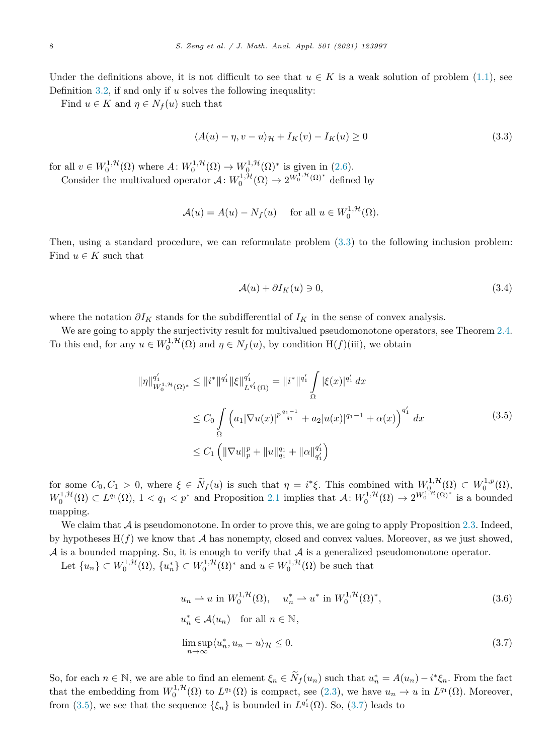<span id="page-7-0"></span>Under the definitions above, it is not difficult to see that  $u \in K$  is a weak solution of problem [\(1.1](#page-0-0)), see Definition [3.2](#page-6-0), if and only if *u* solves the following inequality:

Find  $u \in K$  and  $\eta \in N_f(u)$  such that

$$
\langle A(u) - \eta, v - u \rangle_{\mathcal{H}} + I_K(v) - I_K(u) \ge 0
$$
\n(3.3)

for all  $v \in W_0^{1,\mathcal{H}}(\Omega)$  where  $A: W_0^{1,\mathcal{H}}(\Omega) \to W_0^{1,\mathcal{H}}(\Omega)^*$  is given in [\(2.6](#page-4-0)).

Consider the multivalued operator  $\mathcal{A}: W_0^{1, \mathcal{H}}(\Omega) \to 2^{W_0^{1, \mathcal{H}}(\Omega)^*}$  defined by

$$
\mathcal{A}(u) = A(u) - N_f(u) \quad \text{ for all } u \in W_0^{1, \mathcal{H}}(\Omega).
$$

Then, using a standard procedure, we can reformulate problem (3.3) to the following inclusion problem: Find  $u \in K$  such that

$$
\mathcal{A}(u) + \partial I_K(u) \ni 0,\tag{3.4}
$$

where the notation  $\partial I_K$  stands for the subdifferential of  $I_K$  in the sense of convex analysis.

We are going to apply the surjectivity result for multivalued pseudomonotone operators, see Theorem [2.4.](#page-5-0) To this end, for any  $u \in W_0^{1,\mathcal{H}}(\Omega)$  and  $\eta \in N_f(u)$ , by condition  $H(f)(iii)$ , we obtain

$$
\|\eta\|_{W_0^{1,\mathcal{H}}(\Omega)^*}^{q_1'} \le \|i^*\|^{q_1'} \|\xi\|_{L^{q_1'}(\Omega)}^{q_1'} = \|i^*\|^{q_1'} \int_{\Omega} |\xi(x)|^{q_1'} dx
$$
  
\n
$$
\le C_0 \int_{\Omega} \left( a_1 |\nabla u(x)|^{p \frac{q_1 - 1}{q_1}} + a_2 |u(x)|^{q_1 - 1} + \alpha(x) \right)^{q_1'} dx
$$
  
\n
$$
\le C_1 \left( \|\nabla u\|_{p}^{p} + \|u\|_{q_1}^{q_1} + \|\alpha\|_{q_1'}^{q_1'} \right)
$$
\n(3.5)

for some  $C_0, C_1 > 0$ , where  $\xi \in \widetilde{N}_f(u)$  is such that  $\eta = i^*\xi$ . This combined with  $W^{1, \mathcal{H}}_{0}(\Omega) \subset W^{1, p}_0(\Omega)$ ,  $W_0^{1,\mathcal{H}}(\Omega) \subset L^{q_1}(\Omega), 1 < q_1 < p^*$  and Proposition [2.1](#page-4-0) implies that  $\mathcal{A}: W_0^{1,\mathcal{H}}(\Omega) \to 2^{W_0^{1,\mathcal{H}}(\Omega)^*}$  is a bounded mapping.

We claim that  $A$  is pseudomonotone. In order to prove this, we are going to apply Proposition [2.3](#page-5-0). Indeed, by hypotheses  $H(f)$  we know that  $A$  has nonempty, closed and convex values. Moreover, as we just showed,  $A$  is a bounded mapping. So, it is enough to verify that  $A$  is a generalized pseudomonotone operator.

Let  $\{u_n\} \subset W_0^{1,\mathcal{H}}(\Omega)$ ,  $\{u_n^*\} \subset W_0^{1,\mathcal{H}}(\Omega)^*$  and  $u \in W_0^{1,\mathcal{H}}(\Omega)$  be such that

$$
u_n \rightharpoonup u \text{ in } W_0^{1, \mathcal{H}}(\Omega), \quad u_n^* \rightharpoonup u^* \text{ in } W_0^{1, \mathcal{H}}(\Omega)^*,
$$
  
\n
$$
u_n^* \in \mathcal{A}(u_n) \quad \text{for all } n \in \mathbb{N},
$$
  
\n
$$
\limsup_{n \to \infty} \langle u_n^*, u_n - u \rangle_{\mathcal{H}} \le 0.
$$
\n(3.7)

So, for each  $n \in \mathbb{N}$ , we are able to find an element  $\xi_n \in N_f(u_n)$  such that  $u_n^* = A(u_n) - i^* \xi_n$ . From the fact that the embedding from  $W_0^{1,\mathcal{H}}(\Omega)$  to  $L^{q_1}(\Omega)$  is compact, see ([2.3\)](#page-3-0), we have  $u_n \to u$  in  $L^{q_1}(\Omega)$ . Moreover, from (3.5), we see that the sequence  $\{\xi_n\}$  is bounded in  $L^{q'_1}(\Omega)$ . So, (3.7) leads to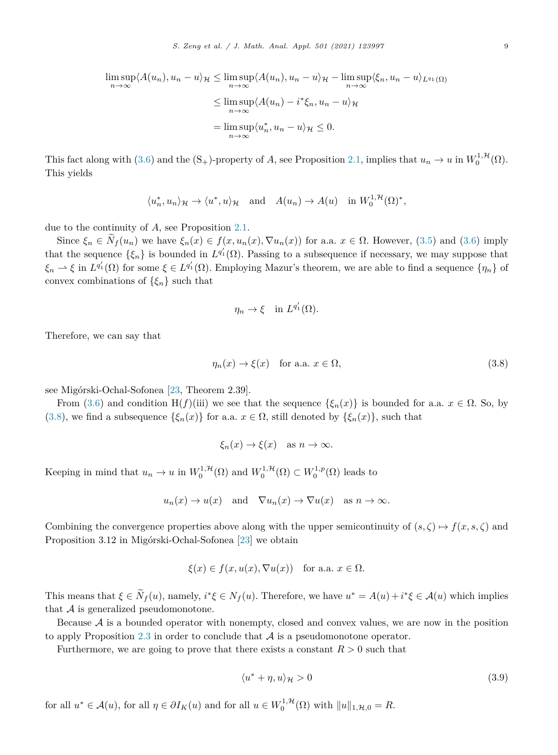<span id="page-8-0"></span>
$$
\limsup_{n \to \infty} \langle A(u_n), u_n - u \rangle_{\mathcal{H}} \le \limsup_{n \to \infty} \langle A(u_n), u_n - u \rangle_{\mathcal{H}} - \limsup_{n \to \infty} \langle \xi_n, u_n - u \rangle_{L^{q_1}(\Omega)}
$$
  

$$
\le \limsup_{n \to \infty} \langle A(u_n) - i^* \xi_n, u_n - u \rangle_{\mathcal{H}}
$$
  

$$
= \limsup_{n \to \infty} \langle u_n^*, u_n - u \rangle_{\mathcal{H}} \le 0.
$$

This fact along with [\(3.6](#page-7-0)) and the  $(S_+)$ -property of *A*, see Proposition [2.1](#page-4-0), implies that  $u_n \to u$  in  $W_0^{1, \mathcal{H}}(\Omega)$ . This yields

$$
\langle u_n^*, u_n \rangle_{\mathcal{H}} \to \langle u^*, u \rangle_{\mathcal{H}}
$$
 and  $A(u_n) \to A(u)$  in  $W_0^{1,\mathcal{H}}(\Omega)^*$ ,

due to the continuity of *A*, see Proposition [2.1](#page-4-0).

Since  $\xi_n \in \widetilde{N}_f(u_n)$  we have  $\xi_n(x) \in f(x, u_n(x), \nabla u_n(x))$  for a.a.  $x \in \Omega$ . However, [\(3.5\)](#page-7-0) and [\(3.6\)](#page-7-0) imply that the sequence  $\{\xi_n\}$  is bounded in  $L^{q'_1}(\Omega)$ . Passing to a subsequence if necessary, we may suppose that  $\xi_n \to \xi$  in  $L^{q'_1}(\Omega)$  for some  $\xi \in L^{q'_1}(\Omega)$ . Employing Mazur's theorem, we are able to find a sequence  $\{\eta_n\}$  of convex combinations of  $\{\xi_n\}$  such that

$$
\eta_n \to \xi \quad \text{in } L^{q'_1}(\Omega).
$$

Therefore, we can say that

$$
\eta_n(x) \to \xi(x) \quad \text{for a.a. } x \in \Omega,
$$
\n(3.8)

see Migórski-Ochal-Sofonea [\[23,](#page-11-0) Theorem 2.39].

From [\(3.6](#page-7-0)) and condition H(*f*)(iii) we see that the sequence  $\{\xi_n(x)\}\$ is bounded for a.a.  $x \in \Omega$ . So, by (3.8), we find a subsequence  $\{\xi_n(x)\}\$ for a.a.  $x \in \Omega$ , still denoted by  $\{\xi_n(x)\}\$ , such that

$$
\xi_n(x) \to \xi(x)
$$
 as  $n \to \infty$ .

Keeping in mind that  $u_n \to u$  in  $W_0^{1,\mathcal{H}}(\Omega)$  and  $W_0^{1,\mathcal{H}}(\Omega) \subset W_0^{1,p}(\Omega)$  leads to

$$
u_n(x) \to u(x)
$$
 and  $\nabla u_n(x) \to \nabla u(x)$  as  $n \to \infty$ .

Combining the convergence properties above along with the upper semicontinuity of  $(s, \zeta) \mapsto f(x, s, \zeta)$  and Proposition 3.12 in Migórski-Ochal-Sofonea [\[23\]](#page-11-0) we obtain

$$
\xi(x) \in f(x, u(x), \nabla u(x))
$$
 for a.a.  $x \in \Omega$ .

This means that  $\xi \in N_f(u)$ , namely,  $i^*\xi \in N_f(u)$ . Therefore, we have  $u^* = A(u) + i^*\xi \in A(u)$  which implies that  $A$  is generalized pseudomonotone.

Because  $A$  is a bounded operator with nonempty, closed and convex values, we are now in the position to apply Proposition [2.3](#page-5-0) in order to conclude that  $A$  is a pseudomonotone operator.

Furthermore, we are going to prove that there exists a constant *R >* 0 such that

$$
\langle u^* + \eta, u \rangle_{\mathcal{H}} > 0 \tag{3.9}
$$

for all  $u^* \in \mathcal{A}(u)$ , for all  $\eta \in \partial I_K(u)$  and for all  $u \in W_0^{1,\mathcal{H}}(\Omega)$  with  $||u||_{1,\mathcal{H},0} = R$ .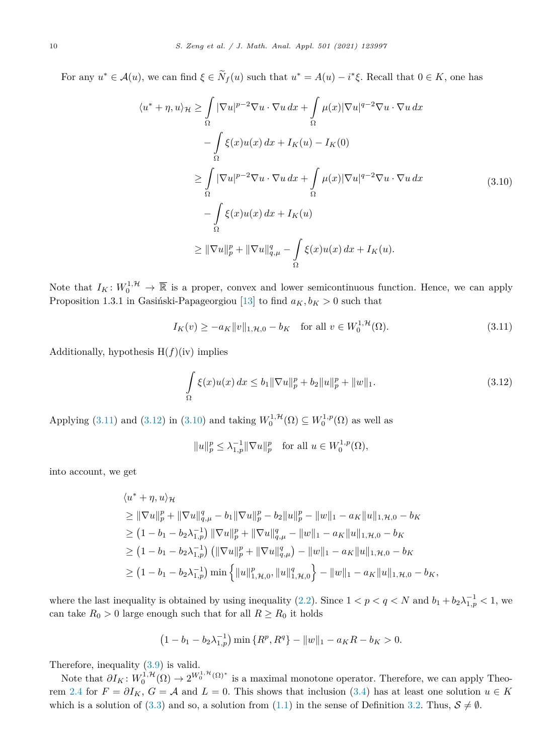<span id="page-9-0"></span>For any  $u^* \in \mathcal{A}(u)$ , we can find  $\xi \in N_f(u)$  such that  $u^* = A(u) - i^*\xi$ . Recall that  $0 \in K$ , one has

$$
\langle u^* + \eta, u \rangle_{\mathcal{H}} \ge \int_{\Omega} |\nabla u|^{p-2} \nabla u \cdot \nabla u \, dx + \int_{\Omega} \mu(x) |\nabla u|^{q-2} \nabla u \cdot \nabla u \, dx
$$

$$
- \int_{\Omega} \xi(x) u(x) \, dx + I_K(u) - I_K(0)
$$

$$
\ge \int_{\Omega} |\nabla u|^{p-2} \nabla u \cdot \nabla u \, dx + \int_{\Omega} \mu(x) |\nabla u|^{q-2} \nabla u \cdot \nabla u \, dx
$$

$$
- \int_{\Omega} \xi(x) u(x) \, dx + I_K(u)
$$

$$
\ge ||\nabla u||_p^p + ||\nabla u||_{q,\mu}^q - \int_{\Omega} \xi(x) u(x) \, dx + I_K(u).
$$

$$
(3.10)
$$

Note that  $I_K: W_0^{1,\mathcal{H}} \to \overline{\mathbb{R}}$  is a proper, convex and lower semicontinuous function. Hence, we can apply Proposition 1.3.1 in Gasiński-Papageorgiou [[13\]](#page-11-0) to find  $a_K, b_K > 0$  such that

$$
I_K(v) \ge -a_K \|v\|_{1,\mathcal{H},0} - b_K \quad \text{for all } v \in W_0^{1,\mathcal{H}}(\Omega). \tag{3.11}
$$

Additionally, hypothesis  $H(f)(iv)$  implies

$$
\int_{\Omega} \xi(x)u(x) dx \le b_1 \|\nabla u\|_{p}^{p} + b_2 \|u\|_{p}^{p} + \|w\|_{1}.
$$
\n(3.12)

Applying (3.11) and (3.12) in (3.10) and taking  $W_0^{1, H}(\Omega) \subseteq W_0^{1, p}(\Omega)$  as well as

$$
||u||_p^p \leq \lambda_{1,p}^{-1} ||\nabla u||_p^p
$$
 for all  $u \in W_0^{1,p}(\Omega)$ ,

into account, we get

$$
\langle u^* + \eta, u \rangle_{\mathcal{H}}
$$
  
\n
$$
\geq \|\nabla u\|_{p}^{p} + \|\nabla u\|_{q,\mu}^{q} - b_{1} \|\nabla u\|_{p}^{p} - b_{2} \|u\|_{p}^{p} - \|w\|_{1} - a_{K} \|u\|_{1,\mathcal{H},0} - b_{K}
$$
  
\n
$$
\geq (1 - b_{1} - b_{2}\lambda_{1,p}^{-1}) \|\nabla u\|_{p}^{p} + \|\nabla u\|_{q,\mu}^{q} - \|w\|_{1} - a_{K} \|u\|_{1,\mathcal{H},0} - b_{K}
$$
  
\n
$$
\geq (1 - b_{1} - b_{2}\lambda_{1,p}^{-1}) (\|\nabla u\|_{p}^{p} + \|\nabla u\|_{q,\mu}^{q}) - \|w\|_{1} - a_{K} \|u\|_{1,\mathcal{H},0} - b_{K}
$$
  
\n
$$
\geq (1 - b_{1} - b_{2}\lambda_{1,p}^{-1}) \min \left\{ \|u\|_{1,\mathcal{H},0}^{p}, \|u\|_{1,\mathcal{H},0}^{q} \right\} - \|w\|_{1} - a_{K} \|u\|_{1,\mathcal{H},0} - b_{K},
$$

where the last inequality is obtained by using inequality ([2.2\)](#page-3-0). Since  $1 < p < q < N$  and  $b_1 + b_2 \lambda_{1,p}^{-1} < 1$ , we can take  $R_0 > 0$  large enough such that for all  $R \geq R_0$  it holds

$$
(1 - b_1 - b_2 \lambda_{1,p}^{-1}) \min \{ R^p, R^q \} - ||w||_1 - a_K R - b_K > 0.
$$

Therefore, inequality [\(3.9](#page-8-0)) is valid.

Note that  $\partial I_K$ :  $W_0^{1, H}(\Omega) \to 2^{W_0^{1, H}(\Omega)^*}$  is a maximal monotone operator. Therefore, we can apply Theo-rem [2.4](#page-5-0) for  $F = \partial I_K$ ,  $G = A$  and  $L = 0$ . This shows that inclusion [\(3.4](#page-7-0)) has at least one solution  $u \in K$ which is a solution of [\(3.3](#page-7-0)) and so, a solution from [\(1.1](#page-0-0)) in the sense of Definition [3.2.](#page-6-0) Thus,  $S \neq \emptyset$ .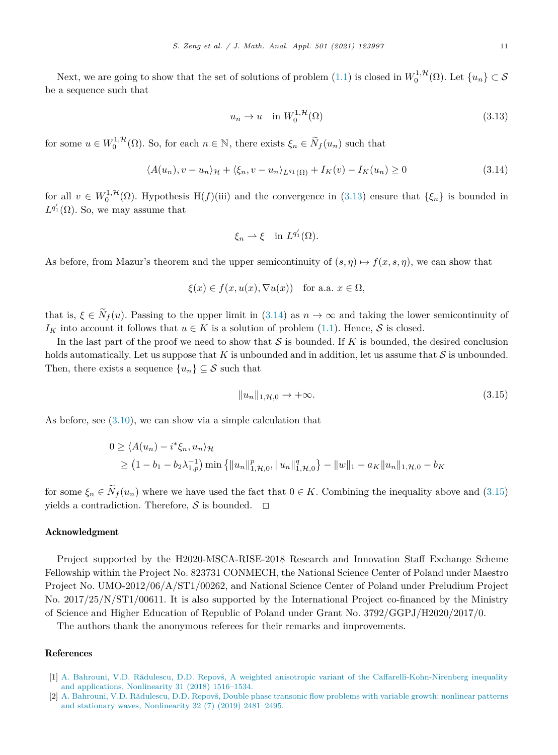<span id="page-10-0"></span>Next, we are going to show that the set of solutions of problem  $(1.1)$  is closed in  $W_0^{1, \mathcal{H}}(\Omega)$ . Let  $\{u_n\} \subset \mathcal{S}$ be a sequence such that

$$
u_n \to u \quad \text{in} \ W_0^{1, \mathcal{H}}(\Omega) \tag{3.13}
$$

for some  $u \in W_0^{1,\mathcal{H}}(\Omega)$ . So, for each  $n \in \mathbb{N}$ , there exists  $\xi_n \in \widetilde{N}_f(u_n)$  such that

$$
\langle A(u_n), v - u_n \rangle_{\mathcal{H}} + \langle \xi_n, v - u_n \rangle_{L^{q_1}(\Omega)} + I_K(v) - I_K(u_n) \ge 0 \tag{3.14}
$$

for all  $v \in W_0^{1,\mathcal{H}}(\Omega)$ . Hypothesis H(*f*)(iii) and the convergence in (3.13) ensure that  $\{\xi_n\}$  is bounded in  $L^{q'_1}(\Omega)$ . So, we may assume that

$$
\xi_n \rightharpoonup \xi \quad \text{in } L^{q'_1}(\Omega).
$$

As before, from Mazur's theorem and the upper semicontinuity of  $(s, \eta) \mapsto f(x, s, \eta)$ , we can show that

$$
\xi(x) \in f(x, u(x), \nabla u(x)) \quad \text{for a.a. } x \in \Omega,
$$

that is,  $\xi \in \widetilde{N}_f(u)$ . Passing to the upper limit in (3.14) as  $n \to \infty$  and taking the lower semicontinuity of  $I_K$  into account it follows that  $u \in K$  is a solution of problem ([1.1\)](#page-0-0). Hence, S is closed.

In the last part of the proof we need to show that  $S$  is bounded. If  $K$  is bounded, the desired conclusion holds automatically. Let us suppose that  $K$  is unbounded and in addition, let us assume that  $S$  is unbounded. Then, there exists a sequence  $\{u_n\} \subseteq \mathcal{S}$  such that

$$
||u_n||_{1,\mathcal{H},0} \to +\infty. \tag{3.15}
$$

As before, see [\(3.10](#page-9-0)), we can show via a simple calculation that

$$
0 \ge \langle A(u_n) - i^* \xi_n, u_n \rangle_{\mathcal{H}}
$$
  
 
$$
\ge (1 - b_1 - b_2 \lambda_{1,p}^{-1}) \min \{ ||u_n||_{1,\mathcal{H},0}^p, ||u_n||_{1,\mathcal{H},0}^q \} - ||w||_1 - a_K ||u_n||_{1,\mathcal{H},0} - b_K
$$

for some  $\xi_n \in \tilde{N}_f(u_n)$  where we have used the fact that  $0 \in K$ . Combining the inequality above and (3.15) yields a contradiction. Therefore,  $S$  is bounded.  $\Box$ 

### Acknowledgment

Project supported by the H2020-MSCA-RISE-2018 Research and Innovation Staff Exchange Scheme Fellowship within the Project No. 823731 CONMECH, the National Science Center of Poland under Maestro Project No. UMO-2012/06/A/ST1/00262, and National Science Center of Poland under Preludium Project No. 2017/25/N/ST1/00611. It is also supported by the International Project co-financed by the Ministry of Science and Higher Education of Republic of Poland under Grant No. 3792/GGPJ/H2020/2017/0.

The authors thank the anonymous referees for their remarks and improvements.

#### References

- [1] A. Bahrouni, V.D. Rădulescu, D.D. Repovš, A weighted anisotropic variant of the [Caffarelli-Kohn-Nirenberg](http://refhub.elsevier.com/S0022-247X(20)30159-1/bibDDC7655ABBEEDA12C8AE023067F80D01s1) inequality and [applications,](http://refhub.elsevier.com/S0022-247X(20)30159-1/bibDDC7655ABBEEDA12C8AE023067F80D01s1) Nonlinearity 31 (2018) 1516–1534.
- [2] A. Bahrouni, V.D. [Rădulescu,](http://refhub.elsevier.com/S0022-247X(20)30159-1/bibA1F73E2C700372029EBE1731D09913CEs1) D.D. Repovš, Double phase transonic flow problems with variable growth: nonlinear patterns and stationary waves, [Nonlinearity](http://refhub.elsevier.com/S0022-247X(20)30159-1/bibA1F73E2C700372029EBE1731D09913CEs1) 32 (7) (2019) 2481–2495.